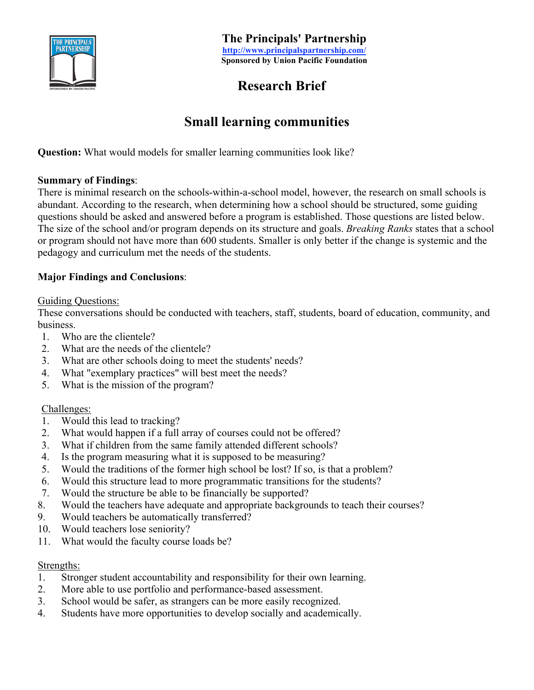

**The Principals' Partnership http://www.principalspartnership.com/ Sponsored by Union Pacific Foundation**

# **Research Brief**

# **Small learning communities**

**Question:** What would models for smaller learning communities look like?

### **Summary of Findings**:

There is minimal research on the schools-within-a-school model, however, the research on small schools is abundant. According to the research, when determining how a school should be structured, some guiding questions should be asked and answered before a program is established. Those questions are listed below. The size of the school and/or program depends on its structure and goals. *Breaking Ranks* states that a school or program should not have more than 600 students. Smaller is only better if the change is systemic and the pedagogy and curriculum met the needs of the students.

### **Major Findings and Conclusions**:

#### Guiding Questions:

These conversations should be conducted with teachers, staff, students, board of education, community, and business.

- 1. Who are the clientele?
- 2. What are the needs of the clientele?
- 3. What are other schools doing to meet the students' needs?
- 4. What "exemplary practices" will best meet the needs?
- 5. What is the mission of the program?

#### Challenges:

- 1. Would this lead to tracking?
- 2. What would happen if a full array of courses could not be offered?
- 3. What if children from the same family attended different schools?
- 4. Is the program measuring what it is supposed to be measuring?
- 5. Would the traditions of the former high school be lost? If so, is that a problem?
- 6. Would this structure lead to more programmatic transitions for the students?
- 7. Would the structure be able to be financially be supported?
- 8. Would the teachers have adequate and appropriate backgrounds to teach their courses?
- 9. Would teachers be automatically transferred?
- 10. Would teachers lose seniority?
- 11. What would the faculty course loads be?

#### Strengths:

- 1. Stronger student accountability and responsibility for their own learning.
- 2. More able to use portfolio and performance-based assessment.
- 3. School would be safer, as strangers can be more easily recognized.
- 4. Students have more opportunities to develop socially and academically.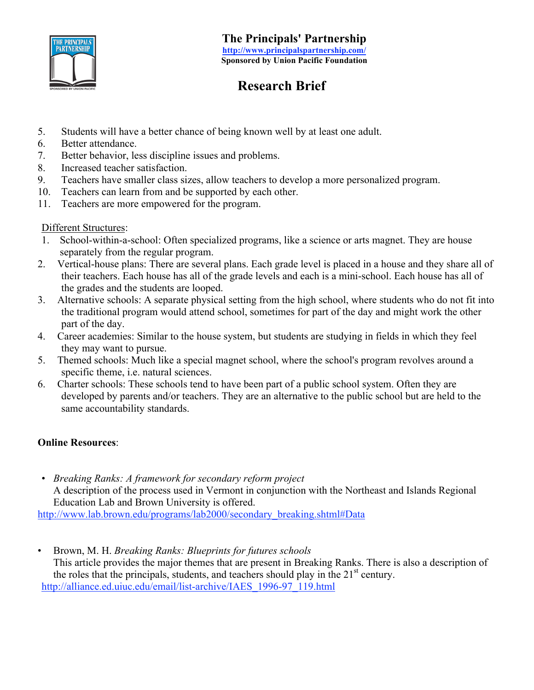

# **Research Brief**

- 5. Students will have a better chance of being known well by at least one adult.
- 6. Better attendance.
- 7. Better behavior, less discipline issues and problems.
- 8. Increased teacher satisfaction.
- 9. Teachers have smaller class sizes, allow teachers to develop a more personalized program.
- 10. Teachers can learn from and be supported by each other.
- 11. Teachers are more empowered for the program.

### Different Structures:

- 1. School-within-a-school: Often specialized programs, like a science or arts magnet. They are house separately from the regular program.
- 2. Vertical-house plans: There are several plans. Each grade level is placed in a house and they share all of their teachers. Each house has all of the grade levels and each is a mini-school. Each house has all of the grades and the students are looped.
- 3. Alternative schools: A separate physical setting from the high school, where students who do not fit into the traditional program would attend school, sometimes for part of the day and might work the other part of the day.
- 4. Career academies: Similar to the house system, but students are studying in fields in which they feel they may want to pursue.
- 5. Themed schools: Much like a special magnet school, where the school's program revolves around a specific theme, i.e. natural sciences.
- 6. Charter schools: These schools tend to have been part of a public school system. Often they are developed by parents and/or teachers. They are an alternative to the public school but are held to the same accountability standards.

## **Online Resources**:

• *Breaking Ranks: A framework for secondary reform project* A description of the process used in Vermont in conjunction with the Northeast and Islands Regional Education Lab and Brown University is offered.

http://www.lab.brown.edu/programs/lab2000/secondary\_breaking.shtml#Data

• Brown, M. H. *Breaking Ranks: Blueprints for futures schools* This article provides the major themes that are present in Breaking Ranks. There is also a description of the roles that the principals, students, and teachers should play in the  $21<sup>st</sup>$  century. http://alliance.ed.uiuc.edu/email/list-archive/IAES\_1996-97\_119.html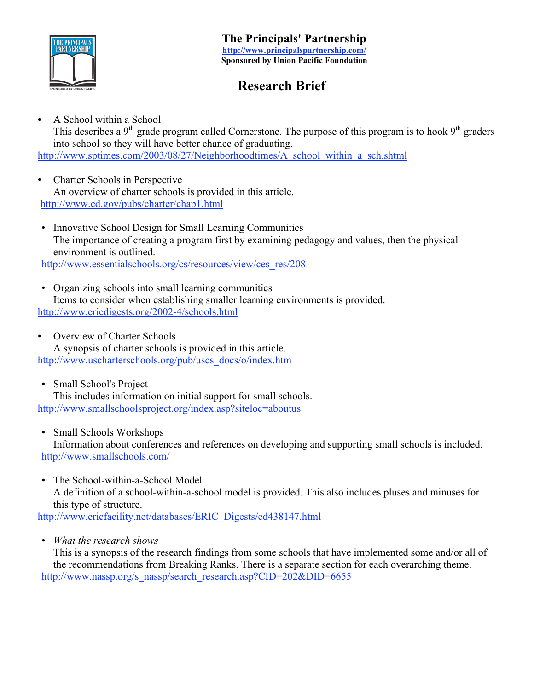

# **Research Brief**

• A School within a School

This describes a  $9<sup>th</sup>$  grade program called Cornerstone. The purpose of this program is to hook  $9<sup>th</sup>$  graders into school so they will have better chance of graduating.

http://www.sptimes.com/2003/08/27/Neighborhoodtimes/A\_school\_within\_a\_sch.shtml

- Charter Schools in Perspective An overview of charter schools is provided in this article. http://www.ed.gov/pubs/charter/chap1.html
- Innovative School Design for Small Learning Communities The importance of creating a program first by examining pedagogy and values, then the physical environment is outlined.

http://www.essentialschools.org/cs/resources/view/ces\_res/208

- Organizing schools into small learning communities Items to consider when establishing smaller learning environments is provided. http://www.ericdigests.org/2002-4/schools.html
- Overview of Charter Schools A synopsis of charter schools is provided in this article. http://www.uscharterschools.org/pub/uscs\_docs/o/index.htm
- Small School's Project This includes information on initial support for small schools. http://www.smallschoolsproject.org/index.asp?siteloc=aboutus
- Small Schools Workshops Information about conferences and references on developing and supporting small schools is included. http://www.smallschools.com/
- The School-within-a-School Model A definition of a school-within-a-school model is provided. This also includes pluses and minuses for this type of structure.

http://www.ericfacility.net/databases/ERIC\_Digests/ed438147.html

• *What the research shows*

This is a synopsis of the research findings from some schools that have implemented some and/or all of the recommendations from Breaking Ranks. There is a separate section for each overarching theme. http://www.nassp.org/s\_nassp/search\_research.asp?CID=202&DID=6655